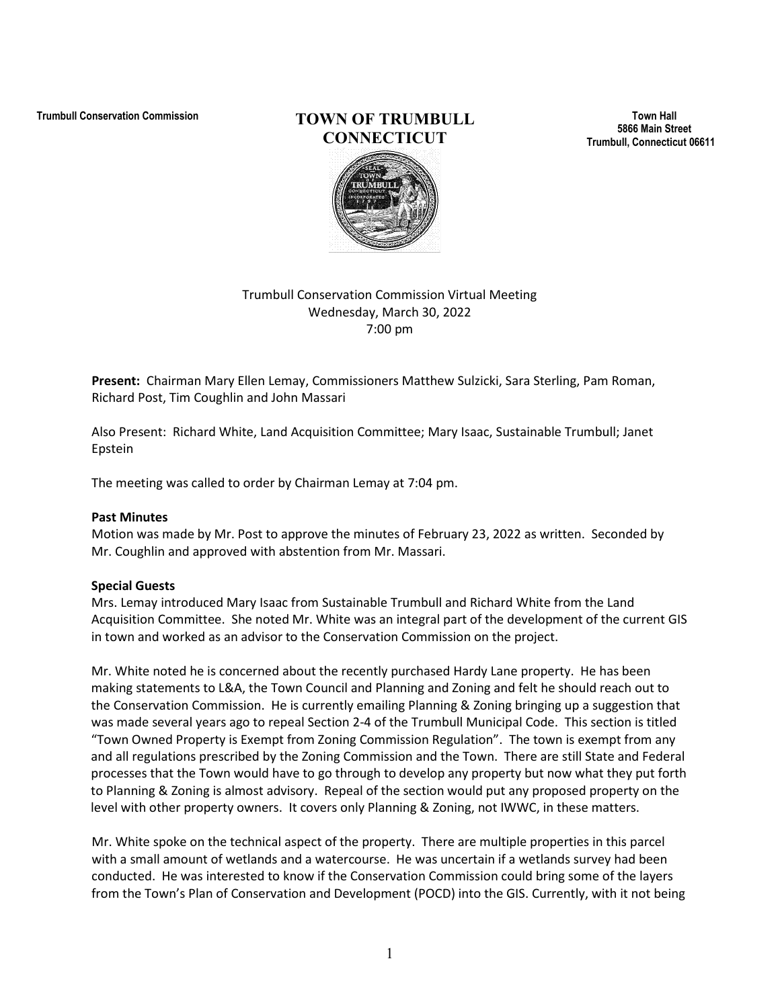# **Trumbull Conservation Commission TOWN OF TRUMBULL CONNECTICUT**

**Town Hall 5866 Main Street Trumbull, Connecticut 06611**

# Trumbull Conservation Commission Virtual Meeting Wednesday, March 30, 2022 7:00 pm

**Present:** Chairman Mary Ellen Lemay, Commissioners Matthew Sulzicki, Sara Sterling, Pam Roman, Richard Post, Tim Coughlin and John Massari

Also Present: Richard White, Land Acquisition Committee; Mary Isaac, Sustainable Trumbull; Janet Epstein

The meeting was called to order by Chairman Lemay at 7:04 pm.

#### **Past Minutes**

Motion was made by Mr. Post to approve the minutes of February 23, 2022 as written. Seconded by Mr. Coughlin and approved with abstention from Mr. Massari.

# **Special Guests**

Mrs. Lemay introduced Mary Isaac from Sustainable Trumbull and Richard White from the Land Acquisition Committee. She noted Mr. White was an integral part of the development of the current GIS in town and worked as an advisor to the Conservation Commission on the project.

Mr. White noted he is concerned about the recently purchased Hardy Lane property. He has been making statements to L&A, the Town Council and Planning and Zoning and felt he should reach out to the Conservation Commission. He is currently emailing Planning & Zoning bringing up a suggestion that was made several years ago to repeal Section 2-4 of the Trumbull Municipal Code. This section is titled "Town Owned Property is Exempt from Zoning Commission Regulation". The town is exempt from any and all regulations prescribed by the Zoning Commission and the Town. There are still State and Federal processes that the Town would have to go through to develop any property but now what they put forth to Planning & Zoning is almost advisory. Repeal of the section would put any proposed property on the level with other property owners. It covers only Planning & Zoning, not IWWC, in these matters.

Mr. White spoke on the technical aspect of the property. There are multiple properties in this parcel with a small amount of wetlands and a watercourse. He was uncertain if a wetlands survey had been conducted. He was interested to know if the Conservation Commission could bring some of the layers from the Town's Plan of Conservation and Development (POCD) into the GIS. Currently, with it not being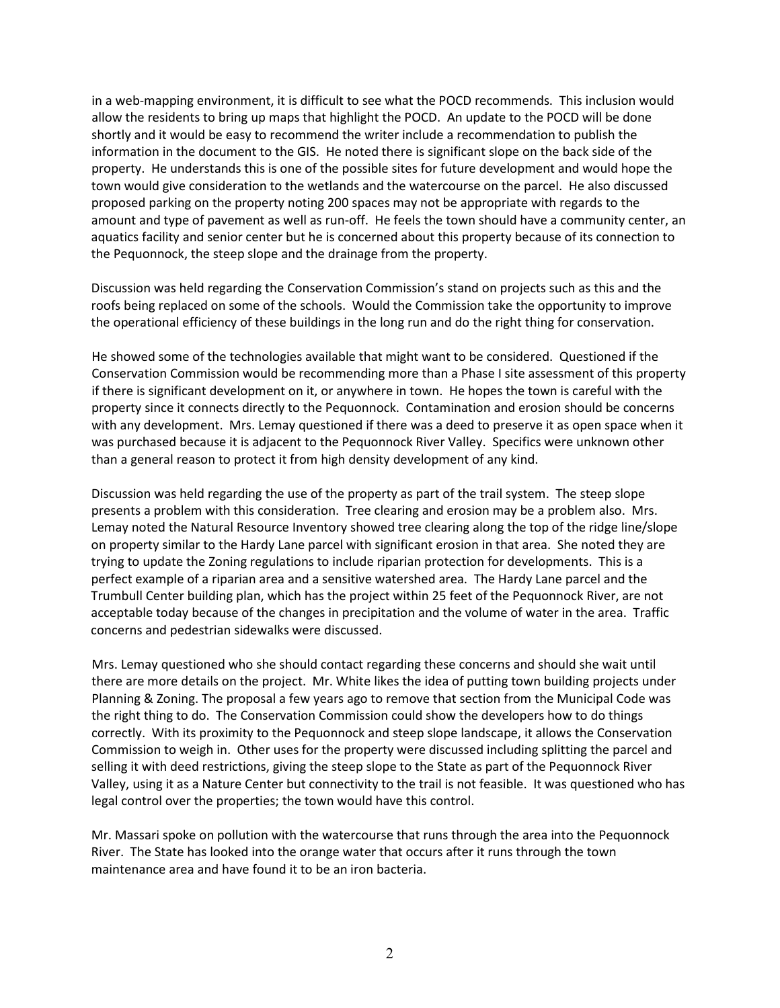in a web-mapping environment, it is difficult to see what the POCD recommends. This inclusion would allow the residents to bring up maps that highlight the POCD. An update to the POCD will be done shortly and it would be easy to recommend the writer include a recommendation to publish the information in the document to the GIS. He noted there is significant slope on the back side of the property. He understands this is one of the possible sites for future development and would hope the town would give consideration to the wetlands and the watercourse on the parcel. He also discussed proposed parking on the property noting 200 spaces may not be appropriate with regards to the amount and type of pavement as well as run-off. He feels the town should have a community center, an aquatics facility and senior center but he is concerned about this property because of its connection to the Pequonnock, the steep slope and the drainage from the property.

Discussion was held regarding the Conservation Commission's stand on projects such as this and the roofs being replaced on some of the schools. Would the Commission take the opportunity to improve the operational efficiency of these buildings in the long run and do the right thing for conservation.

He showed some of the technologies available that might want to be considered. Questioned if the Conservation Commission would be recommending more than a Phase I site assessment of this property if there is significant development on it, or anywhere in town. He hopes the town is careful with the property since it connects directly to the Pequonnock. Contamination and erosion should be concerns with any development. Mrs. Lemay questioned if there was a deed to preserve it as open space when it was purchased because it is adjacent to the Pequonnock River Valley. Specifics were unknown other than a general reason to protect it from high density development of any kind.

Discussion was held regarding the use of the property as part of the trail system. The steep slope presents a problem with this consideration. Tree clearing and erosion may be a problem also. Mrs. Lemay noted the Natural Resource Inventory showed tree clearing along the top of the ridge line/slope on property similar to the Hardy Lane parcel with significant erosion in that area. She noted they are trying to update the Zoning regulations to include riparian protection for developments. This is a perfect example of a riparian area and a sensitive watershed area. The Hardy Lane parcel and the Trumbull Center building plan, which has the project within 25 feet of the Pequonnock River, are not acceptable today because of the changes in precipitation and the volume of water in the area. Traffic concerns and pedestrian sidewalks were discussed.

Mrs. Lemay questioned who she should contact regarding these concerns and should she wait until there are more details on the project. Mr. White likes the idea of putting town building projects under Planning & Zoning. The proposal a few years ago to remove that section from the Municipal Code was the right thing to do. The Conservation Commission could show the developers how to do things correctly. With its proximity to the Pequonnock and steep slope landscape, it allows the Conservation Commission to weigh in. Other uses for the property were discussed including splitting the parcel and selling it with deed restrictions, giving the steep slope to the State as part of the Pequonnock River Valley, using it as a Nature Center but connectivity to the trail is not feasible. It was questioned who has legal control over the properties; the town would have this control.

Mr. Massari spoke on pollution with the watercourse that runs through the area into the Pequonnock River. The State has looked into the orange water that occurs after it runs through the town maintenance area and have found it to be an iron bacteria.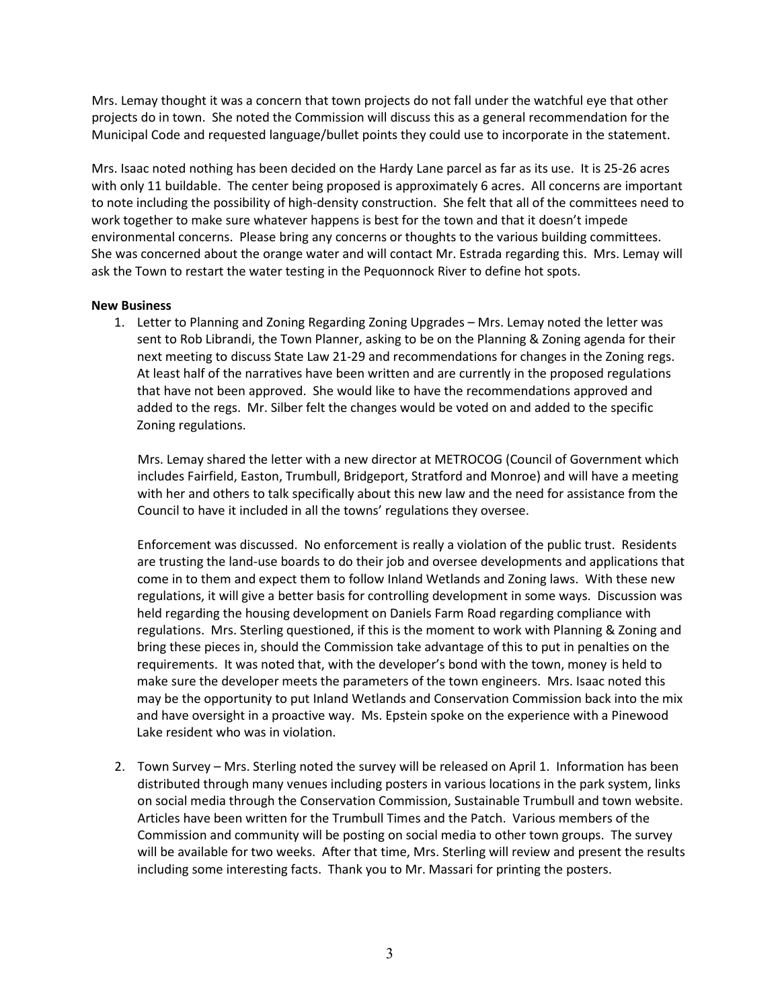Mrs. Lemay thought it was a concern that town projects do not fall under the watchful eye that other projects do in town. She noted the Commission will discuss this as a general recommendation for the Municipal Code and requested language/bullet points they could use to incorporate in the statement.

Mrs. Isaac noted nothing has been decided on the Hardy Lane parcel as far as its use. It is 25-26 acres with only 11 buildable. The center being proposed is approximately 6 acres. All concerns are important to note including the possibility of high-density construction. She felt that all of the committees need to work together to make sure whatever happens is best for the town and that it doesn't impede environmental concerns. Please bring any concerns or thoughts to the various building committees. She was concerned about the orange water and will contact Mr. Estrada regarding this. Mrs. Lemay will ask the Town to restart the water testing in the Pequonnock River to define hot spots.

#### **New Business**

1. Letter to Planning and Zoning Regarding Zoning Upgrades – Mrs. Lemay noted the letter was sent to Rob Librandi, the Town Planner, asking to be on the Planning & Zoning agenda for their next meeting to discuss State Law 21-29 and recommendations for changes in the Zoning regs. At least half of the narratives have been written and are currently in the proposed regulations that have not been approved. She would like to have the recommendations approved and added to the regs. Mr. Silber felt the changes would be voted on and added to the specific Zoning regulations.

Mrs. Lemay shared the letter with a new director at METROCOG (Council of Government which includes Fairfield, Easton, Trumbull, Bridgeport, Stratford and Monroe) and will have a meeting with her and others to talk specifically about this new law and the need for assistance from the Council to have it included in all the towns' regulations they oversee.

Enforcement was discussed. No enforcement is really a violation of the public trust. Residents are trusting the land-use boards to do their job and oversee developments and applications that come in to them and expect them to follow Inland Wetlands and Zoning laws. With these new regulations, it will give a better basis for controlling development in some ways. Discussion was held regarding the housing development on Daniels Farm Road regarding compliance with regulations. Mrs. Sterling questioned, if this is the moment to work with Planning & Zoning and bring these pieces in, should the Commission take advantage of this to put in penalties on the requirements. It was noted that, with the developer's bond with the town, money is held to make sure the developer meets the parameters of the town engineers. Mrs. Isaac noted this may be the opportunity to put Inland Wetlands and Conservation Commission back into the mix and have oversight in a proactive way. Ms. Epstein spoke on the experience with a Pinewood Lake resident who was in violation.

2. Town Survey – Mrs. Sterling noted the survey will be released on April 1. Information has been distributed through many venues including posters in various locations in the park system, links on social media through the Conservation Commission, Sustainable Trumbull and town website. Articles have been written for the Trumbull Times and the Patch. Various members of the Commission and community will be posting on social media to other town groups. The survey will be available for two weeks. After that time, Mrs. Sterling will review and present the results including some interesting facts. Thank you to Mr. Massari for printing the posters.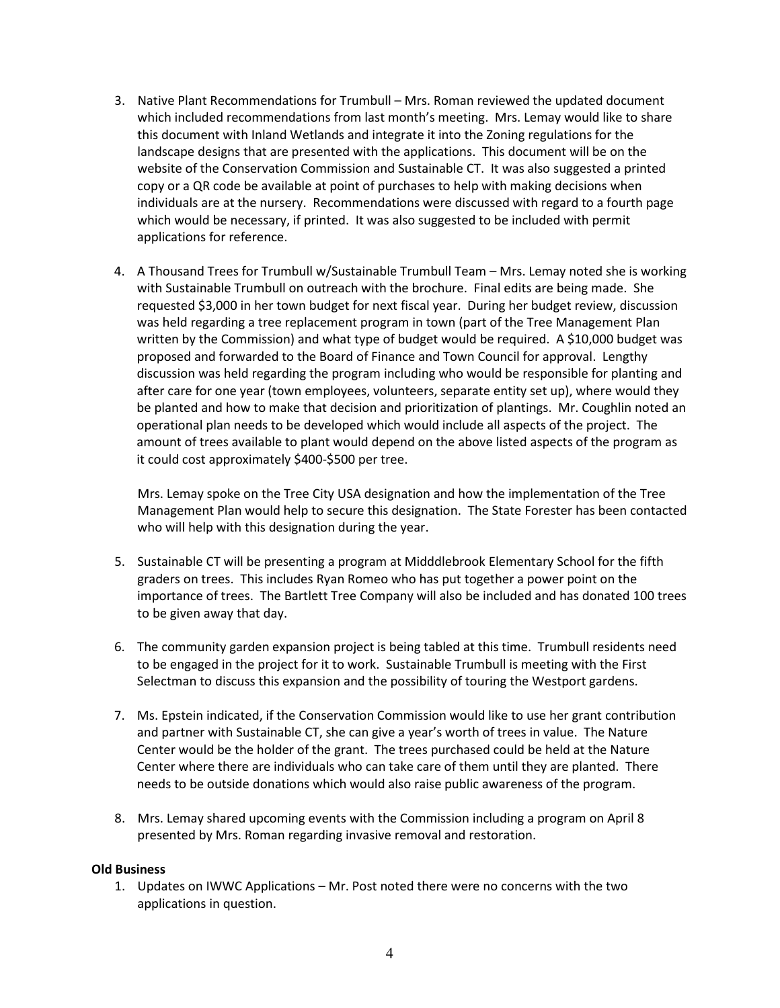- 3. Native Plant Recommendations for Trumbull Mrs. Roman reviewed the updated document which included recommendations from last month's meeting. Mrs. Lemay would like to share this document with Inland Wetlands and integrate it into the Zoning regulations for the landscape designs that are presented with the applications. This document will be on the website of the Conservation Commission and Sustainable CT. It was also suggested a printed copy or a QR code be available at point of purchases to help with making decisions when individuals are at the nursery. Recommendations were discussed with regard to a fourth page which would be necessary, if printed. It was also suggested to be included with permit applications for reference.
- 4. A Thousand Trees for Trumbull w/Sustainable Trumbull Team Mrs. Lemay noted she is working with Sustainable Trumbull on outreach with the brochure. Final edits are being made. She requested \$3,000 in her town budget for next fiscal year. During her budget review, discussion was held regarding a tree replacement program in town (part of the Tree Management Plan written by the Commission) and what type of budget would be required. A \$10,000 budget was proposed and forwarded to the Board of Finance and Town Council for approval. Lengthy discussion was held regarding the program including who would be responsible for planting and after care for one year (town employees, volunteers, separate entity set up), where would they be planted and how to make that decision and prioritization of plantings. Mr. Coughlin noted an operational plan needs to be developed which would include all aspects of the project. The amount of trees available to plant would depend on the above listed aspects of the program as it could cost approximately \$400-\$500 per tree.

Mrs. Lemay spoke on the Tree City USA designation and how the implementation of the Tree Management Plan would help to secure this designation. The State Forester has been contacted who will help with this designation during the year.

- 5. Sustainable CT will be presenting a program at Midddlebrook Elementary School for the fifth graders on trees. This includes Ryan Romeo who has put together a power point on the importance of trees. The Bartlett Tree Company will also be included and has donated 100 trees to be given away that day.
- 6. The community garden expansion project is being tabled at this time. Trumbull residents need to be engaged in the project for it to work. Sustainable Trumbull is meeting with the First Selectman to discuss this expansion and the possibility of touring the Westport gardens.
- 7. Ms. Epstein indicated, if the Conservation Commission would like to use her grant contribution and partner with Sustainable CT, she can give a year's worth of trees in value. The Nature Center would be the holder of the grant. The trees purchased could be held at the Nature Center where there are individuals who can take care of them until they are planted. There needs to be outside donations which would also raise public awareness of the program.
- 8. Mrs. Lemay shared upcoming events with the Commission including a program on April 8 presented by Mrs. Roman regarding invasive removal and restoration.

# **Old Business**

1. Updates on IWWC Applications – Mr. Post noted there were no concerns with the two applications in question.